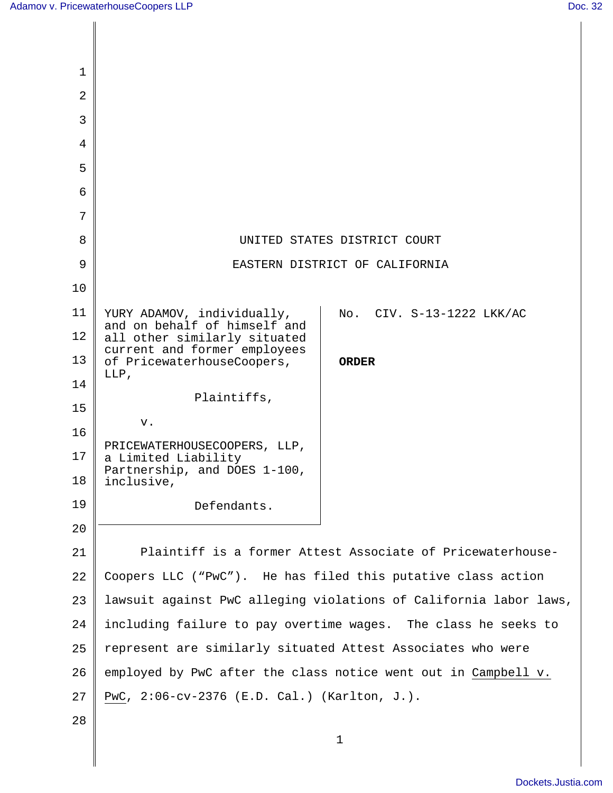| 1        |                                                                                         |
|----------|-----------------------------------------------------------------------------------------|
| 2        |                                                                                         |
| 3        |                                                                                         |
| 4        |                                                                                         |
| 5        |                                                                                         |
| 6        |                                                                                         |
| 7        |                                                                                         |
| 8        | UNITED STATES DISTRICT COURT                                                            |
| 9        | EASTERN DISTRICT OF CALIFORNIA                                                          |
| 10       |                                                                                         |
| 11       | YURY ADAMOV, individually,<br>No. CIV. S-13-1222 LKK/AC<br>and on behalf of himself and |
| 12       | all other similarly situated<br>current and former employees                            |
| 13       | of PricewaterhouseCoopers,<br><b>ORDER</b><br>LLP,                                      |
| 14       | Plaintiffs,                                                                             |
| 15       | v.                                                                                      |
| 16       | PRICEWATERHOUSECOOPERS, LLP,                                                            |
| 17<br>18 | a Limited Liability<br>Partnership, and DOES 1-100,<br>inclusive,                       |
| 19       | Defendants.                                                                             |
| 20       |                                                                                         |
| 21       | Plaintiff is a former Attest Associate of Pricewaterhouse-                              |
| 22       | Coopers LLC ("PwC"). He has filed this putative class action                            |
| 23       | lawsuit against PwC alleging violations of California labor laws,                       |
| 24       | including failure to pay overtime wages. The class he seeks to                          |
| 25       | represent are similarly situated Attest Associates who were                             |
| 26       | employed by PwC after the class notice went out in Campbell v.                          |
| 27       | PwC, 2:06-cv-2376 (E.D. Cal.) (Karlton, J.).                                            |
| 28       |                                                                                         |
|          | $\mathbf 1$                                                                             |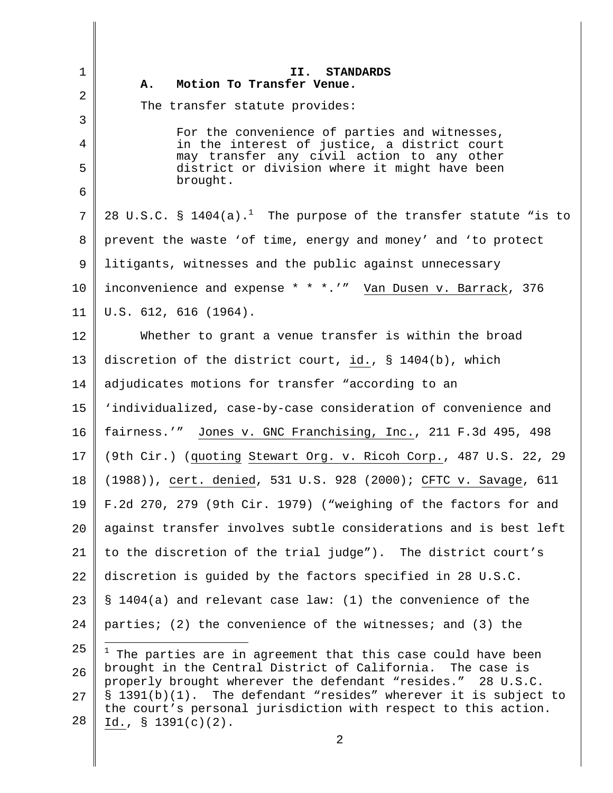1 2 3 4 5 6 7 8 9 10 11 12 13 14 15 16 17 18 19 20 21 22 23  $2.4$ 25 26 27 28 2 **II. STANDARDS A. Motion To Transfer Venue.**  The transfer statute provides: For the convenience of parties and witnesses, in the interest of justice, a district court may transfer any civil action to any other district or division where it might have been brought. 28 U.S.C. §  $1404(a)$ .<sup>1</sup> The purpose of the transfer statute "is to prevent the waste 'of time, energy and money' and 'to protect litigants, witnesses and the public against unnecessary inconvenience and expense \* \* \*.'" Van Dusen v. Barrack, 376 U.S. 612, 616 (1964). Whether to grant a venue transfer is within the broad discretion of the district court, id., § 1404(b), which adjudicates motions for transfer "according to an 'individualized, case-by-case consideration of convenience and fairness.'" Jones v. GNC Franchising, Inc., 211 F.3d 495, 498 (9th Cir.) (quoting Stewart Org. v. Ricoh Corp., 487 U.S. 22, 29 (1988)), cert. denied, 531 U.S. 928 (2000); CFTC v. Savage, 611 F.2d 270, 279 (9th Cir. 1979) ("weighing of the factors for and against transfer involves subtle considerations and is best left to the discretion of the trial judge"). The district court's discretion is guided by the factors specified in 28 U.S.C. § 1404(a) and relevant case law: (1) the convenience of the parties; (2) the convenience of the witnesses; and (3) the  $1$  The parties are in agreement that this case could have been brought in the Central District of California. The case is properly brought wherever the defendant "resides." 28 U.S.C. § 1391(b)(1). The defendant "resides" wherever it is subject to the court's personal jurisdiction with respect to this action. Id., § 1391(c)(2).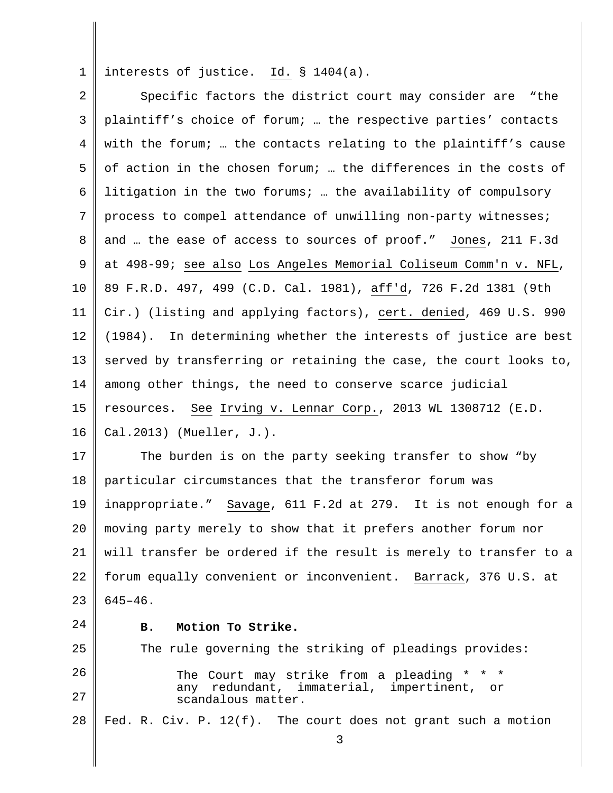1 interests of justice.  $Id. \S 1404(a)$ .

| $\overline{a}$ | Specific factors the district court may consider are "the         |
|----------------|-------------------------------------------------------------------|
| 3              | plaintiff's choice of forum;  the respective parties' contacts    |
| 4              | with the forum;  the contacts relating to the plaintiff's cause   |
| 5              | of action in the chosen forum;  the differences in the costs of   |
| 6              | litigation in the two forums;  the availability of compulsory     |
| 7              | process to compel attendance of unwilling non-party witnesses;    |
| 8              | and  the ease of access to sources of proof." Jones, 211 F.3d     |
| 9              | at 498-99; see also Los Angeles Memorial Coliseum Comm'n v. NFL,  |
| 10             | 89 F.R.D. 497, 499 (C.D. Cal. 1981), aff'd, 726 F.2d 1381 (9th    |
| 11             | Cir.) (listing and applying factors), cert. denied, 469 U.S. 990  |
| 12             | (1984). In determining whether the interests of justice are best  |
| 13             | served by transferring or retaining the case, the court looks to, |
| 14             | among other things, the need to conserve scarce judicial          |
| 15             | resources. See Irving v. Lennar Corp., 2013 WL 1308712 (E.D.      |
| 16             | Cal.2013) (Mueller, $J.$ ).                                       |
| 17             | The burden is on the party seeking transfer to show "by           |
| 18             | particular circumstances that the transferor forum was            |
| 19             | inappropriate." Savage, 611 F.2d at 279. It is not enough for a   |
| 20             | moving party merely to show that it prefers another forum nor     |
| 21             | will transfer be ordered if the result is merely to transfer to a |
| 22             | forum equally convenient or inconvenient. Barrack, 376 U.S. at    |
| 23             | $645 - 46$ .                                                      |
| 24             | Motion To Strike.<br>в.                                           |
| 25             | The rule governing the striking of pleadings provides:            |

26 27 The Court may strike from a pleading \* \* \* any redundant, immaterial, impertinent, or scandalous matter.

28 Fed. R. Civ. P. 12(f). The court does not grant such a motion

3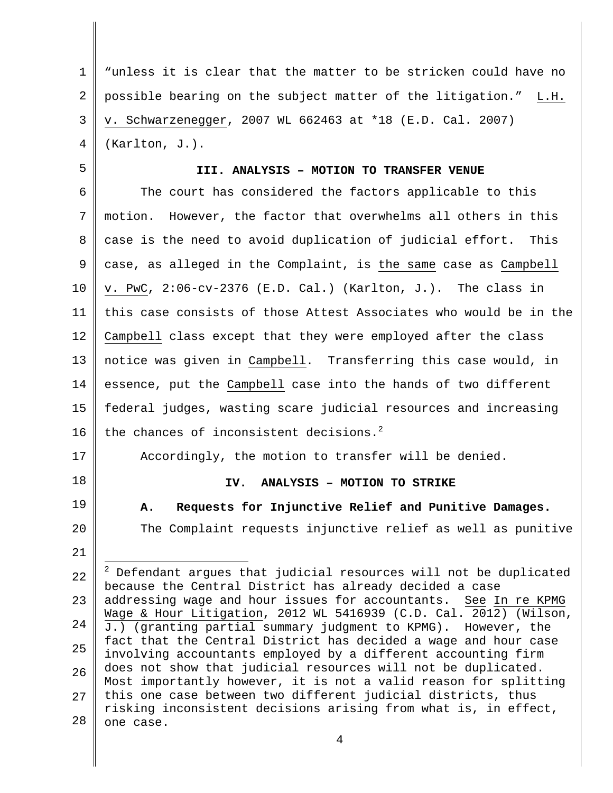1 2 3 4 "unless it is clear that the matter to be stricken could have no possible bearing on the subject matter of the litigation." L.H. v. Schwarzenegger, 2007 WL 662463 at \*18 (E.D. Cal. 2007) (Karlton, J.).

# 5

### **III. ANALYSIS – MOTION TO TRANSFER VENUE**

6 7 8 9 10 11 12 13 14 15 16 The court has considered the factors applicable to this motion. However, the factor that overwhelms all others in this case is the need to avoid duplication of judicial effort. This case, as alleged in the Complaint, is the same case as Campbell v. PwC, 2:06-cv-2376 (E.D. Cal.) (Karlton, J.). The class in this case consists of those Attest Associates who would be in the Campbell class except that they were employed after the class notice was given in Campbell. Transferring this case would, in essence, put the Campbell case into the hands of two different federal judges, wasting scare judicial resources and increasing the chances of inconsistent decisions. $^{2}$ 

17

18

19

#### **IV. ANALYSIS – MOTION TO STRIKE**

**A. Requests for Injunctive Relief and Punitive Damages.** 

Accordingly, the motion to transfer will be denied.

20

21 22 23 24 25 26 27 The Complaint requests injunctive relief as well as punitive J.  $2$  Defendant argues that judicial resources will not be duplicated because the Central District has already decided a case addressing wage and hour issues for accountants. See In re KPMG Wage & Hour Litigation, 2012 WL 5416939 (C.D. Cal. 2012) (Wilson, J.) (granting partial summary judgment to KPMG). However, the fact that the Central District has decided a wage and hour case involving accountants employed by a different accounting firm does not show that judicial resources will not be duplicated. Most importantly however, it is not a valid reason for splitting this one case between two different judicial districts, thus risking inconsistent decisions arising from what is, in effect,

28 one case.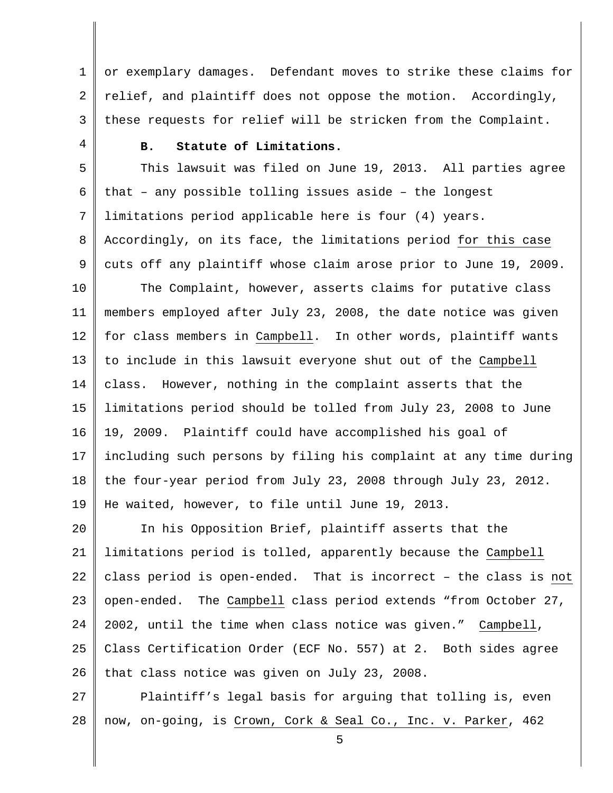1 2 3 or exemplary damages. Defendant moves to strike these claims for relief, and plaintiff does not oppose the motion. Accordingly, these requests for relief will be stricken from the Complaint.

4

## **B. Statute of Limitations.**

5 6 7 8 9 This lawsuit was filed on June 19, 2013. All parties agree that – any possible tolling issues aside – the longest limitations period applicable here is four (4) years. Accordingly, on its face, the limitations period for this case cuts off any plaintiff whose claim arose prior to June 19, 2009.

10 11 12 13 14 15 16 17 18 19 The Complaint, however, asserts claims for putative class members employed after July 23, 2008, the date notice was given for class members in Campbell. In other words, plaintiff wants to include in this lawsuit everyone shut out of the Campbell class. However, nothing in the complaint asserts that the limitations period should be tolled from July 23, 2008 to June 19, 2009. Plaintiff could have accomplished his goal of including such persons by filing his complaint at any time during the four-year period from July 23, 2008 through July 23, 2012. He waited, however, to file until June 19, 2013.

20 21 22 23 24 25 26 In his Opposition Brief, plaintiff asserts that the limitations period is tolled, apparently because the Campbell class period is open-ended. That is incorrect – the class is not open-ended. The Campbell class period extends "from October 27, 2002, until the time when class notice was given." Campbell, Class Certification Order (ECF No. 557) at 2. Both sides agree that class notice was given on July 23, 2008.

27 28 Plaintiff's legal basis for arguing that tolling is, even now, on-going, is Crown, Cork & Seal Co., Inc. v. Parker, 462

5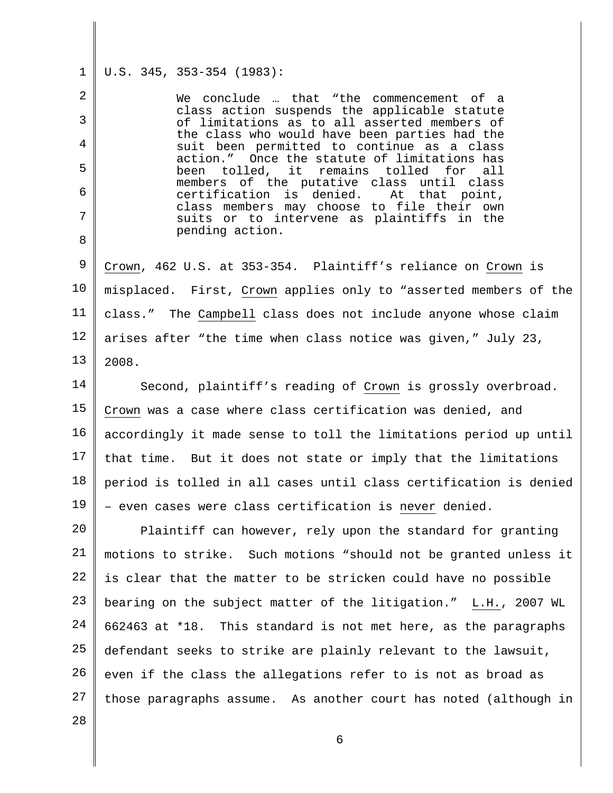#### 1 U.S. 345, 353-354 (1983):

2

3

4

5

6

7

8

We conclude … that "the commencement of a class action suspends the applicable statute of limitations as to all asserted members of the class who would have been parties had the suit been permitted to continue as a class action." Once the statute of limitations has<br>been tolled, it remains tolled for all been tolled, it remains tolled for all members of the putative class until class<br>certification is denied. At that point, certification is denied. class members may choose to file their own suits or to intervene as plaintiffs in the pending action.

9 10 11 12 13 Crown, 462 U.S. at 353-354. Plaintiff's reliance on Crown is misplaced. First, Crown applies only to "asserted members of the class." The Campbell class does not include anyone whose claim arises after "the time when class notice was given," July 23, 2008.

14 15 16 17 18 19 Second, plaintiff's reading of Crown is grossly overbroad. Crown was a case where class certification was denied, and accordingly it made sense to toll the limitations period up until that time. But it does not state or imply that the limitations period is tolled in all cases until class certification is denied – even cases were class certification is never denied.

20 21 22 23 24 25 26 27 Plaintiff can however, rely upon the standard for granting motions to strike. Such motions "should not be granted unless it is clear that the matter to be stricken could have no possible bearing on the subject matter of the litigation." L.H., 2007 WL 662463 at \*18. This standard is not met here, as the paragraphs defendant seeks to strike are plainly relevant to the lawsuit, even if the class the allegations refer to is not as broad as those paragraphs assume. As another court has noted (although in

28